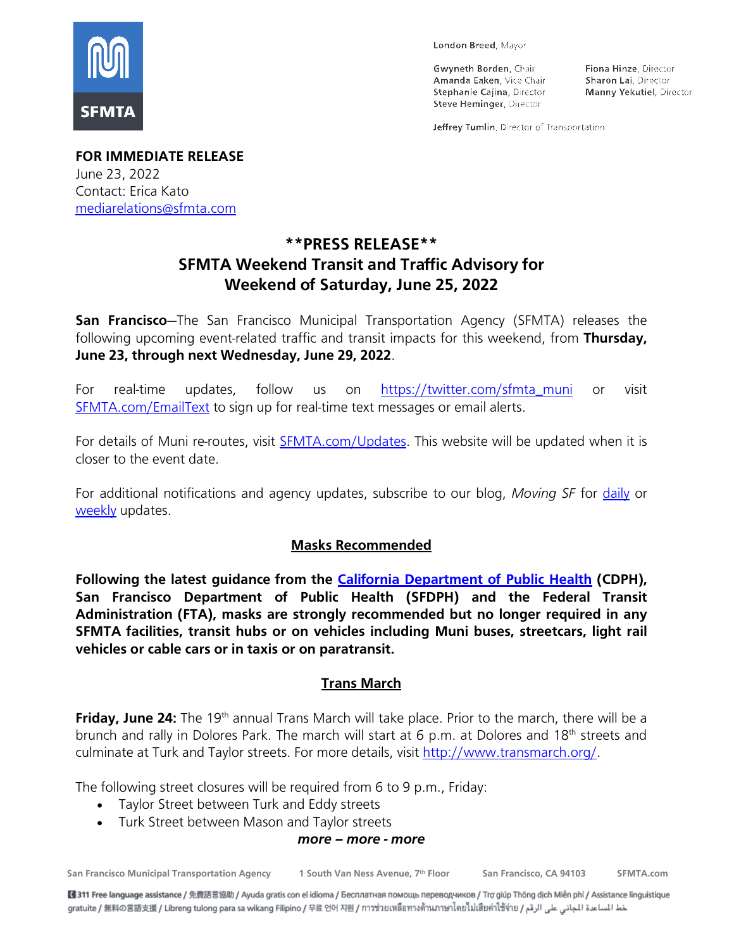

London Breed, Mayor

Gwyneth Borden, Chair Amanda Eaken, Vice Chair Stephanie Cajina, Director Steve Heminger, Director

Fiona Hinze, Director Sharon Lai, Director Manny Yekutiel, Director

Jeffrey Tumlin, Director of Transportation

**FOR IMMEDIATE RELEASE** June 23, 2022 Contact: Erica Kato [mediarelations@sfmta.com](mailto:mediarelations@sfmta.com)

# **\*\*PRESS RELEASE\*\* SFMTA Weekend Transit and Traffic Advisory for Weekend of Saturday, June 25, 2022**

**San Francisco**—The San Francisco Municipal Transportation Agency (SFMTA) releases the following upcoming event-related traffic and transit impacts for this weekend, from **Thursday, June 23, through next Wednesday, June 29, 2022**.

For real-time updates, follow us on [https://twitter.com/sfmta\\_muni](https://twitter.com/sfmta_muni) or visit [SFMTA.com/EmailText](https://www.sfmta.com/about-us/contact-us/email-and-text-alerts) to sign up for real-time text messages or email alerts.

For details of Muni re-routes, visit **SFMTA.com/Updates**. This website will be updated when it is closer to the event date.

For additional notifications and agency updates, subscribe to our blog, *[Moving SF](https://www.sfmta.com/about-sfmta/blog)* for [daily](https://www.sfmta.com/signup-alerts?sfid=701t0000000iMowAAE) or [weekly](https://www.sfmta.com/signup-alerts?sfid=701t0000000iMoxAAE) updates.

#### **Masks Recommended**

**Following the latest guidance from the [California Department](https://www.cdph.ca.gov/Programs/CID/DCDC/Pages/COVID-19/guidance-for-face-coverings.aspx) of Public Health (CDPH), San Francisco Department of Public Health (SFDPH) and the Federal Transit Administration (FTA), masks are strongly recommended but no longer required in any SFMTA facilities, transit hubs or on vehicles including Muni buses, streetcars, light rail vehicles or cable cars or in taxis or on paratransit.**

### **Trans March**

**Friday, June 24:** The 19<sup>th</sup> annual Trans March will take place. Prior to the march, there will be a brunch and rally in Dolores Park. The march will start at 6 p.m. at Dolores and 18<sup>th</sup> streets and culminate at Turk and Taylor streets. For more details, visit [http://www.transmarch.org/.](http://www.transmarch.org/)

The following street closures will be required from 6 to 9 p.m., Friday:

- Taylor Street between Turk and Eddy streets
- Turk Street between Mason and Taylor streets

#### *more – more - more*

**San Francisco Municipal Transportation Agency 1 South Van Ness Avenue, 7th Floor San Francisco, CA 94103 SFMTA.com**

■ 311 Free language assistance / 免費語言協助 / Ayuda gratis con el idioma / Бесплатная помощь переводчиков / Trợ giúp Thông dịch Miễn phí / Assistance linguistique aratuite / 無料の言語支援 / Libreng tulong para sa wikang Filipino / 무료 언어 지원 / การช่วยเหลือทางด้านภาษาโดยไม่เสียค่าใช้จ่าย / عط المساعدة الجانى على الرقم / gratuite / 無料の言語支援 / Libreng tulong para sa wikang Filipino / 무료 안어 지원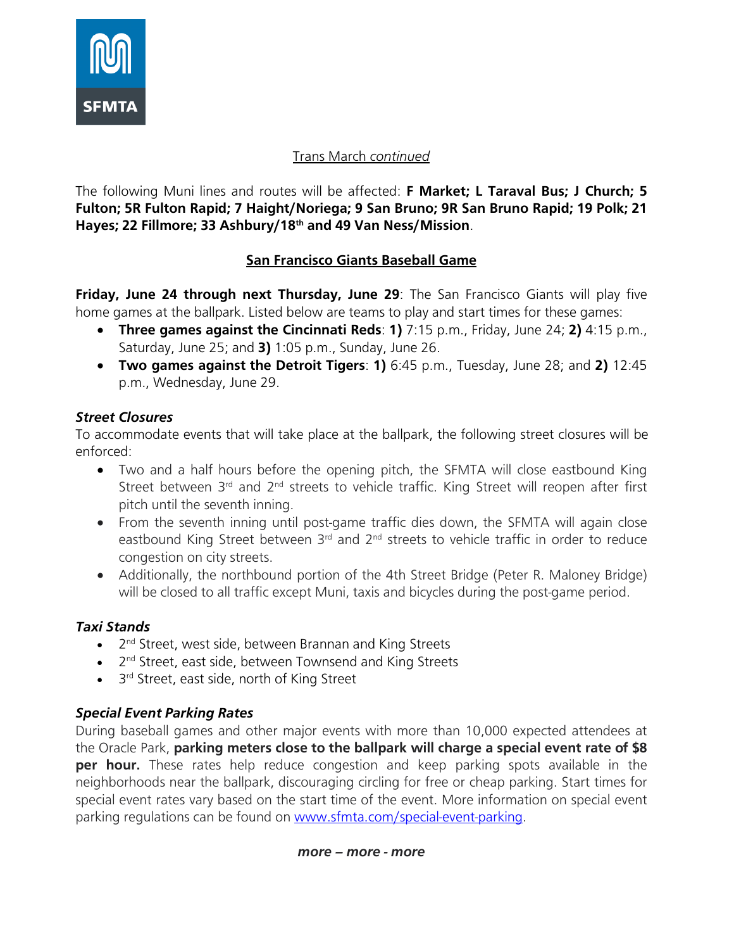

## Trans March *continued*

The following Muni lines and routes will be affected: **F Market; L Taraval Bus; J Church; 5 Fulton; 5R Fulton Rapid; 7 Haight/Noriega; 9 San Bruno; 9R San Bruno Rapid; 19 Polk; 21 Hayes; 22 Fillmore; 33 Ashbury/18th and 49 Van Ness/Mission**.

### **San Francisco Giants Baseball Game**

**Friday, June 24 through next Thursday, June 29**: The San Francisco Giants will play five home games at the ballpark. Listed below are teams to play and start times for these games:

- **Three games against the Cincinnati Reds**: **1)** 7:15 p.m., Friday, June 24; **2)** 4:15 p.m., Saturday, June 25; and **3)** 1:05 p.m., Sunday, June 26.
- **Two games against the Detroit Tigers**: **1)** 6:45 p.m., Tuesday, June 28; and **2)** 12:45 p.m., Wednesday, June 29.

### *Street Closures*

To accommodate events that will take place at the ballpark, the following street closures will be enforced:

- Two and a half hours before the opening pitch, the SFMTA will close eastbound King Street between  $3<sup>rd</sup>$  and  $2<sup>nd</sup>$  streets to vehicle traffic. King Street will reopen after first pitch until the seventh inning.
- From the seventh inning until post-game traffic dies down, the SFMTA will again close eastbound King Street between  $3<sup>rd</sup>$  and  $2<sup>nd</sup>$  streets to vehicle traffic in order to reduce congestion on city streets.
- Additionally, the northbound portion of the 4th Street Bridge (Peter R. Maloney Bridge) will be closed to all traffic except Muni, taxis and bicycles during the post-game period.

## *Taxi Stands*

- 2<sup>nd</sup> Street, west side, between Brannan and King Streets
- 2<sup>nd</sup> Street, east side, between Townsend and King Streets
- 3<sup>rd</sup> Street, east side, north of King Street

## *Special Event Parking Rates*

During baseball games and other major events with more than 10,000 expected attendees at the Oracle Park, **parking meters close to the ballpark will charge a special event rate of \$8 per hour.** These rates help reduce congestion and keep parking spots available in the neighborhoods near the ballpark, discouraging circling for free or cheap parking. Start times for special event rates vary based on the start time of the event. More information on special event parking regulations can be found on [www.sfmta.com/special-event-parking.](https://www.sfmta.com/getting-around/drive-park/oracle-park-and-chase-center-special-event-parking-regulations)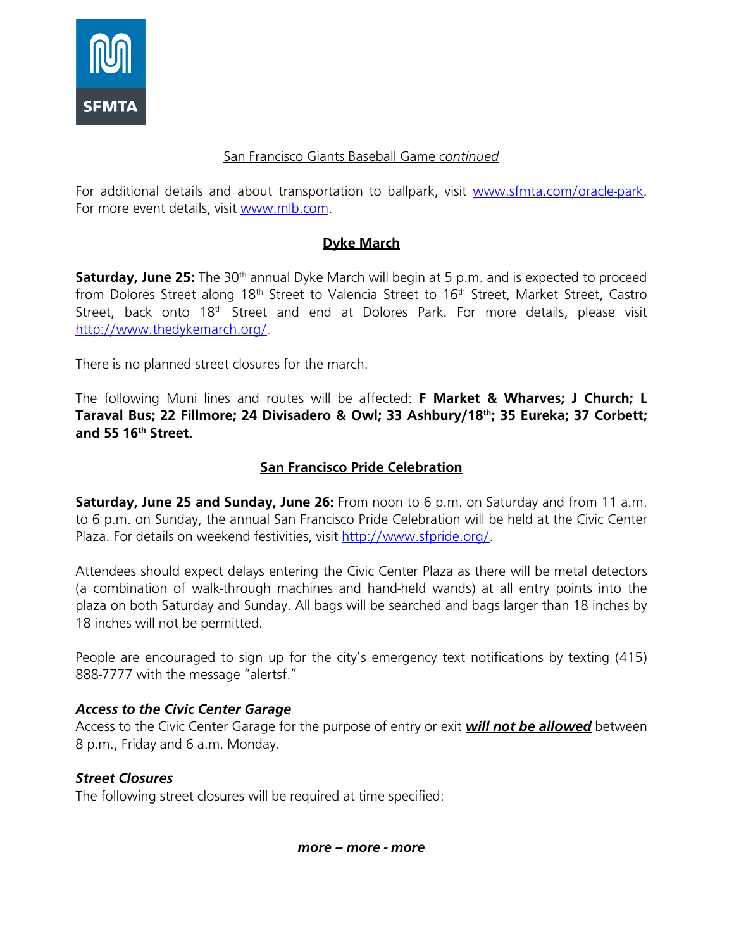

#### San Francisco Giants Baseball Game *continued*

For additional details and about transportation to ballpark, visit [www.sfmta.com/oracle-park.](https://www.sfmta.com/places/oracle-park) For more event details, visit [www.mlb.com.](https://www.mlb.com/giants)

## **Dyke March**

**Saturday, June 25:** The 30<sup>th</sup> annual Dyke March will begin at 5 p.m. and is expected to proceed from Dolores Street along 18<sup>th</sup> Street to Valencia Street to 16<sup>th</sup> Street, Market Street, Castro Street, back onto 18<sup>th</sup> Street and end at Dolores Park. For more details, please visit [http://www.thedykemarch.org/.](http://www.thedykemarch.org/)

There is no planned street closures for the march.

The following Muni lines and routes will be affected: **F Market & Wharves; J Church; L Taraval Bus; 22 Fillmore; 24 Divisadero & Owl; 33 Ashbury/18th; 35 Eureka; 37 Corbett; and 55 16th Street.**

### **San Francisco Pride Celebration**

**Saturday, June 25 and Sunday, June 26:** From noon to 6 p.m. on Saturday and from 11 a.m. to 6 p.m. on Sunday, the annual San Francisco Pride Celebration will be held at the Civic Center Plaza. For details on weekend festivities, visit [http://www.sfpride.org/.](http://www.sfpride.org/)

Attendees should expect delays entering the Civic Center Plaza as there will be metal detectors (a combination of walk-through machines and hand-held wands) at all entry points into the plaza on both Saturday and Sunday. All bags will be searched and bags larger than 18 inches by 18 inches will not be permitted.

People are encouraged to sign up for the city's emergency text notifications by texting (415) 888-7777 with the message "alertsf."

### *Access to the Civic Center Garage*

Access to the Civic Center Garage for the purpose of entry or exit *will not be allowed* between 8 p.m., Friday and 6 a.m. Monday.

### *Street Closures*

The following street closures will be required at time specified: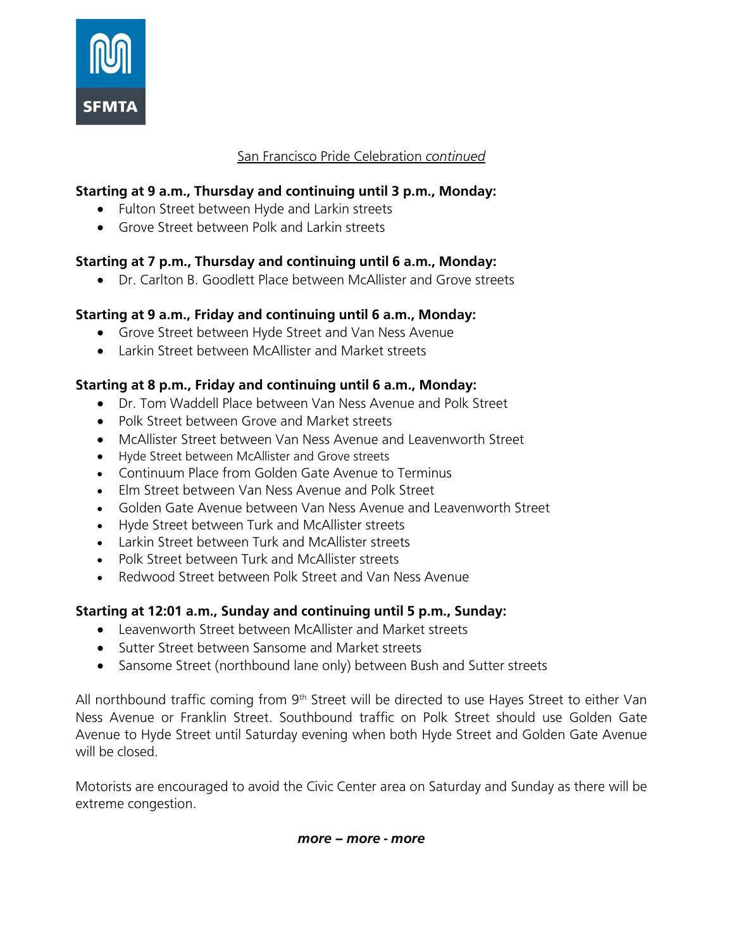

## **Starting at 9 a.m., Thursday and continuing until 3 p.m., Monday:**

- Fulton Street between Hyde and Larkin streets
- Grove Street between Polk and Larkin streets

### **Starting at 7 p.m., Thursday and continuing until 6 a.m., Monday:**

• Dr. Carlton B. Goodlett Place between McAllister and Grove streets

### **Starting at 9 a.m., Friday and continuing until 6 a.m., Monday:**

- Grove Street between Hyde Street and Van Ness Avenue
- Larkin Street between McAllister and Market streets

### **Starting at 8 p.m., Friday and continuing until 6 a.m., Monday:**

- Dr. Tom Waddell Place between Van Ness Avenue and Polk Street
- Polk Street between Grove and Market streets
- McAllister Street between Van Ness Avenue and Leavenworth Street
- Hyde Street between McAllister and Grove streets
- Continuum Place from Golden Gate Avenue to Terminus
- Elm Street between Van Ness Avenue and Polk Street
- Golden Gate Avenue between Van Ness Avenue and Leavenworth Street
- Hyde Street between Turk and McAllister streets
- Larkin Street between Turk and McAllister streets
- Polk Street between Turk and McAllister streets
- Redwood Street between Polk Street and Van Ness Avenue

### **Starting at 12:01 a.m., Sunday and continuing until 5 p.m., Sunday:**

- Leavenworth Street between McAllister and Market streets
- Sutter Street between Sansome and Market streets
- Sansome Street (northbound lane only) between Bush and Sutter streets

All northbound traffic coming from  $9<sup>th</sup>$  Street will be directed to use Hayes Street to either Van Ness Avenue or Franklin Street. Southbound traffic on Polk Street should use Golden Gate Avenue to Hyde Street until Saturday evening when both Hyde Street and Golden Gate Avenue will be closed.

Motorists are encouraged to avoid the Civic Center area on Saturday and Sunday as there will be extreme congestion.

*more – more - more*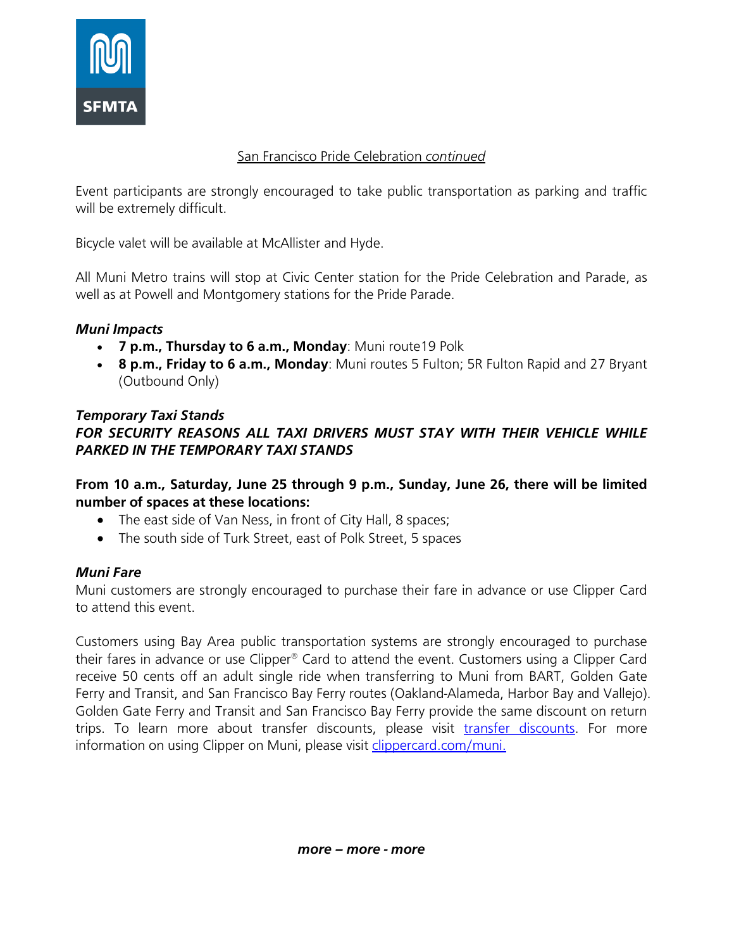

Event participants are strongly encouraged to take public transportation as parking and traffic will be extremely difficult.

Bicycle valet will be available at McAllister and Hyde.

All Muni Metro trains will stop at Civic Center station for the Pride Celebration and Parade, as well as at Powell and Montgomery stations for the Pride Parade.

### *Muni Impacts*

- **7 p.m., Thursday to 6 a.m., Monday**: Muni route19 Polk
- **8 p.m., Friday to 6 a.m., Monday**: Muni routes 5 Fulton; 5R Fulton Rapid and 27 Bryant (Outbound Only)

### *Temporary Taxi Stands FOR SECURITY REASONS ALL TAXI DRIVERS MUST STAY WITH THEIR VEHICLE WHILE PARKED IN THE TEMPORARY TAXI STANDS*

**From 10 a.m., Saturday, June 25 through 9 p.m., Sunday, June 26, there will be limited number of spaces at these locations:**

- The east side of Van Ness, in front of City Hall, 8 spaces;
- The south side of Turk Street, east of Polk Street, 5 spaces

### *Muni Fare*

Muni customers are strongly encouraged to purchase their fare in advance or use Clipper Card to attend this event.

Customers using Bay Area public transportation systems are strongly encouraged to purchase their fares in advance or use Clipper® Card to attend the event. Customers using a Clipper Card receive 50 cents off an adult single ride when transferring to Muni from BART, Golden Gate Ferry and Transit, and San Francisco Bay Ferry routes (Oakland-Alameda, Harbor Bay and Vallejo). Golden Gate Ferry and Transit and San Francisco Bay Ferry provide the same discount on return trips. To learn more about transfer discounts, please visit [transfer discounts.](https://www.clippercard.com/ClipperWeb/muni/faq.do) For more information on using Clipper on Muni, please visit [clippercard.com/muni.](https://www.clippercard.com/ClipperWeb/muni/index.do)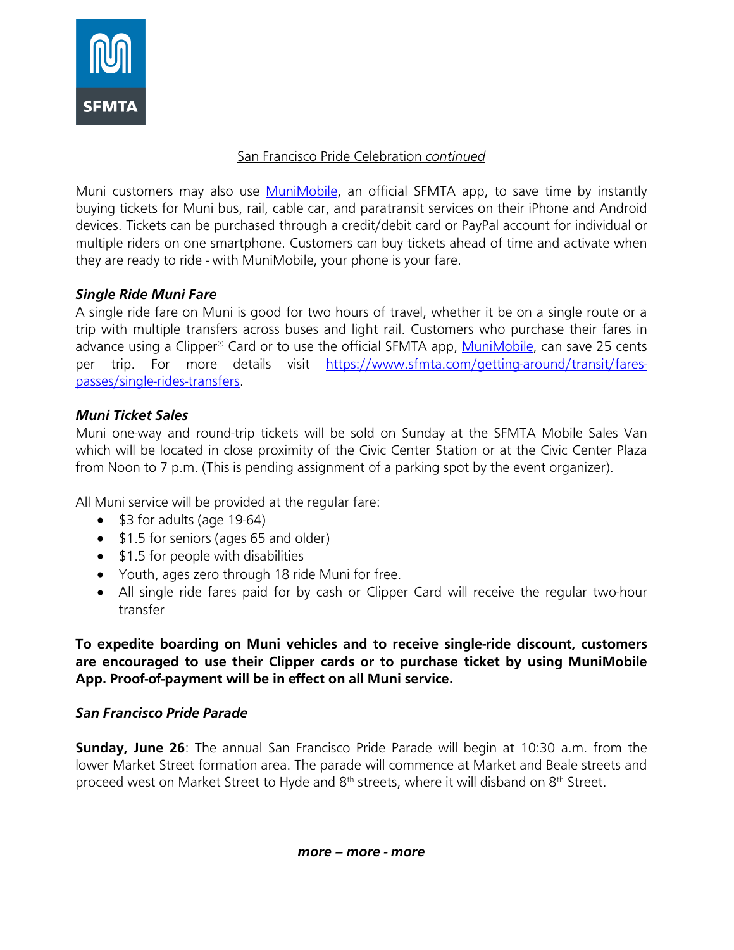

Muni customers may also use [MuniMobile,](https://www.sfmta.com/getting-around/transit/munimobile) an official SFMTA app, to save time by instantly buying tickets for Muni bus, rail, cable car, and paratransit services on their iPhone and Android devices. Tickets can be purchased through a credit/debit card or PayPal account for individual or multiple riders on one smartphone. Customers can buy tickets ahead of time and activate when they are ready to ride - with MuniMobile, your phone is your fare.

### *Single Ride Muni Fare*

A single ride fare on Muni is good for two hours of travel, whether it be on a single route or a trip with multiple transfers across buses and light rail. Customers who purchase their fares in advance using a Clipper® Card or to use the official SFMTA app, [MuniMobile,](https://www.sfmta.com/getting-around/transit/munimobile) can save 25 cents per trip. For more details visit [https://www.sfmta.com/getting-around/transit/fares](https://www.sfmta.com/getting-around/transit/fares-passes/single-rides-transfers)[passes/single-rides-transfers.](https://www.sfmta.com/getting-around/transit/fares-passes/single-rides-transfers)

## *Muni Ticket Sales*

Muni one-way and round-trip tickets will be sold on Sunday at the SFMTA Mobile Sales Van which will be located in close proximity of the Civic Center Station or at the Civic Center Plaza from Noon to 7 p.m. (This is pending assignment of a parking spot by the event organizer).

All Muni service will be provided at the regular fare:

- \$3 for adults (age 19-64)
- \$1.5 for seniors (ages 65 and older)
- \$1.5 for people with disabilities
- Youth, ages zero through 18 ride Muni for free.
- All single ride fares paid for by cash or Clipper Card will receive the regular two-hour transfer

**To expedite boarding on Muni vehicles and to receive single-ride discount, customers are encouraged to use their Clipper cards or to purchase ticket by using MuniMobile App. Proof-of-payment will be in effect on all Muni service.**

### *San Francisco Pride Parade*

**Sunday, June 26**: The annual San Francisco Pride Parade will begin at 10:30 a.m. from the lower Market Street formation area. The parade will commence at Market and Beale streets and proceed west on Market Street to Hyde and  $8<sup>th</sup>$  streets, where it will disband on  $8<sup>th</sup>$  Street.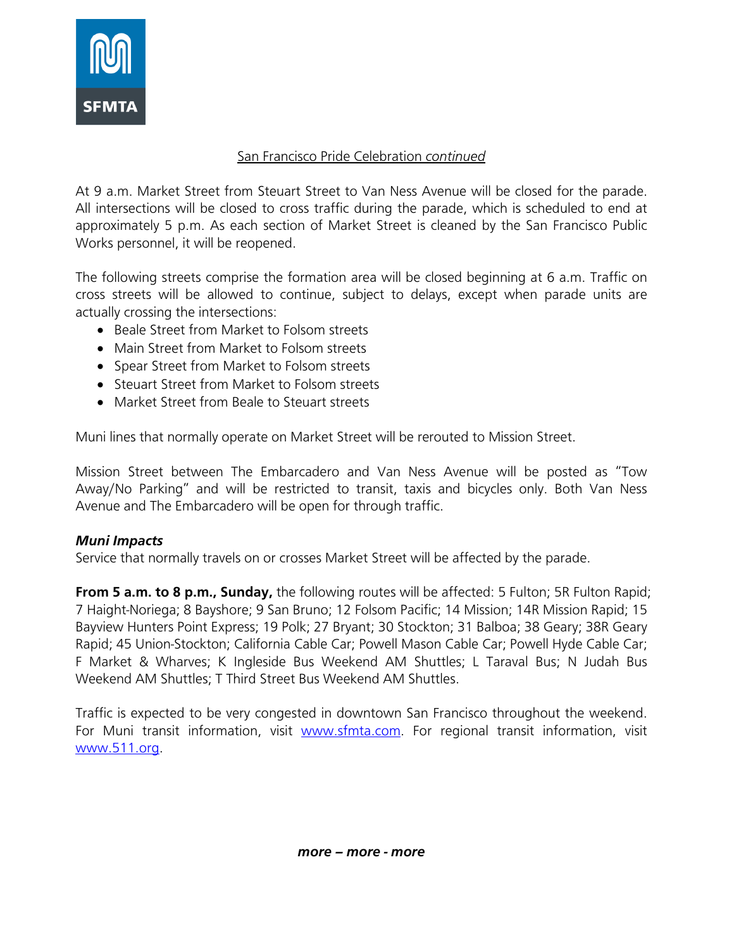

At 9 a.m. Market Street from Steuart Street to Van Ness Avenue will be closed for the parade. All intersections will be closed to cross traffic during the parade, which is scheduled to end at approximately 5 p.m. As each section of Market Street is cleaned by the San Francisco Public Works personnel, it will be reopened.

The following streets comprise the formation area will be closed beginning at 6 a.m. Traffic on cross streets will be allowed to continue, subject to delays, except when parade units are actually crossing the intersections:

- Beale Street from Market to Folsom streets
- Main Street from Market to Folsom streets
- Spear Street from Market to Folsom streets
- Steuart Street from Market to Folsom streets
- Market Street from Beale to Steuart streets

Muni lines that normally operate on Market Street will be rerouted to Mission Street.

Mission Street between The Embarcadero and Van Ness Avenue will be posted as "Tow Away/No Parking" and will be restricted to transit, taxis and bicycles only. Both Van Ness Avenue and The Embarcadero will be open for through traffic.

#### *Muni Impacts*

Service that normally travels on or crosses Market Street will be affected by the parade.

**From 5 a.m. to 8 p.m., Sunday,** the following routes will be affected: 5 Fulton; 5R Fulton Rapid; 7 Haight-Noriega; 8 Bayshore; 9 San Bruno; 12 Folsom Pacific; 14 Mission; 14R Mission Rapid; 15 Bayview Hunters Point Express; 19 Polk; 27 Bryant; 30 Stockton; 31 Balboa; 38 Geary; 38R Geary Rapid; 45 Union-Stockton; California Cable Car; Powell Mason Cable Car; Powell Hyde Cable Car; F Market & Wharves; K Ingleside Bus Weekend AM Shuttles; L Taraval Bus; N Judah Bus Weekend AM Shuttles; T Third Street Bus Weekend AM Shuttles.

Traffic is expected to be very congested in downtown San Francisco throughout the weekend. For Muni transit information, visit [www.sfmta.com.](http://www.sfmta.com/) For regional transit information, visit [www.511.org.](http://www.511.org/)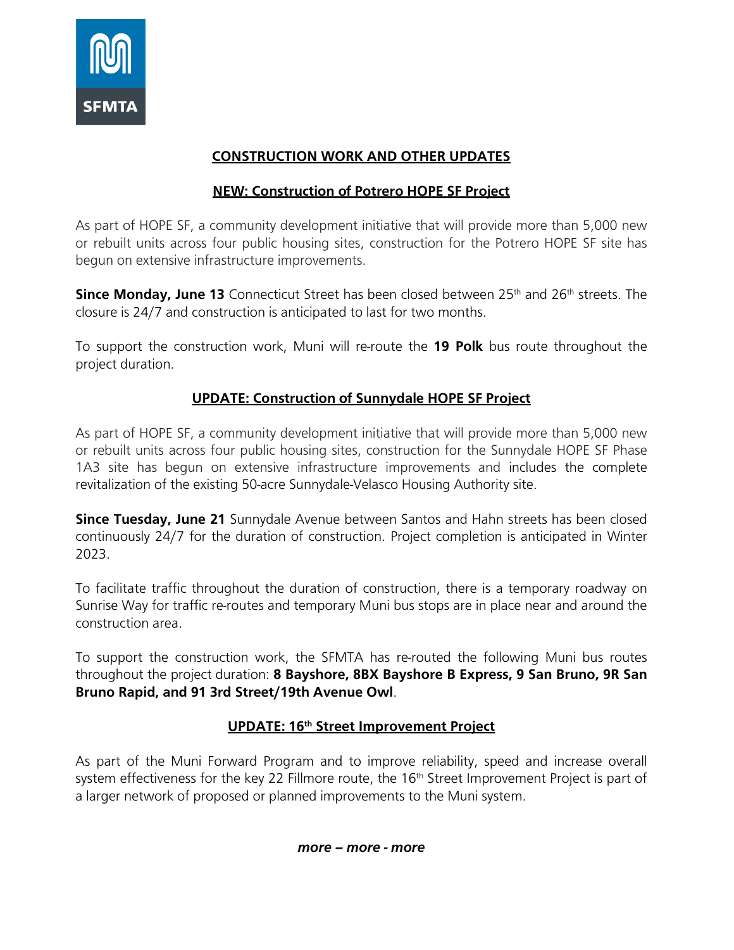

# **CONSTRUCTION WORK AND OTHER UPDATES**

# **NEW: Construction of Potrero HOPE SF Project**

As part of HOPE SF, a community development initiative that will provide more than 5,000 new or rebuilt units across four public housing sites, construction for the Potrero HOPE SF site has begun on extensive infrastructure improvements.

**Since Monday, June 13** Connecticut Street has been closed between 25<sup>th</sup> and 26<sup>th</sup> streets. The closure is 24/7 and construction is anticipated to last for two months.

To support the construction work, Muni will re-route the **19 Polk** bus route throughout the project duration.

## **UPDATE: Construction of Sunnydale HOPE SF Project**

As part of HOPE SF, a community development initiative that will provide more than 5,000 new or rebuilt units across four public housing sites, construction for the Sunnydale HOPE SF Phase 1A3 site has begun on extensive infrastructure improvements and includes the complete revitalization of the existing 50-acre Sunnydale-Velasco Housing Authority site.

**Since Tuesday, June 21** Sunnydale Avenue between Santos and Hahn streets has been closed continuously 24/7 for the duration of construction. Project completion is anticipated in Winter 2023.

To facilitate traffic throughout the duration of construction, there is a temporary roadway on Sunrise Way for traffic re-routes and temporary Muni bus stops are in place near and around the construction area.

To support the construction work, the SFMTA has re-routed the following Muni bus routes throughout the project duration: **8 Bayshore, 8BX Bayshore B Express, 9 San Bruno, 9R San Bruno Rapid, and 91 3rd Street/19th Avenue Owl**.

### **UPDATE: 16th Street Improvement Project**

As part of the Muni Forward Program and to improve reliability, speed and increase overall system effectiveness for the key 22 Fillmore route, the 16<sup>th</sup> Street Improvement Project is part of a larger network of proposed or planned improvements to the Muni system.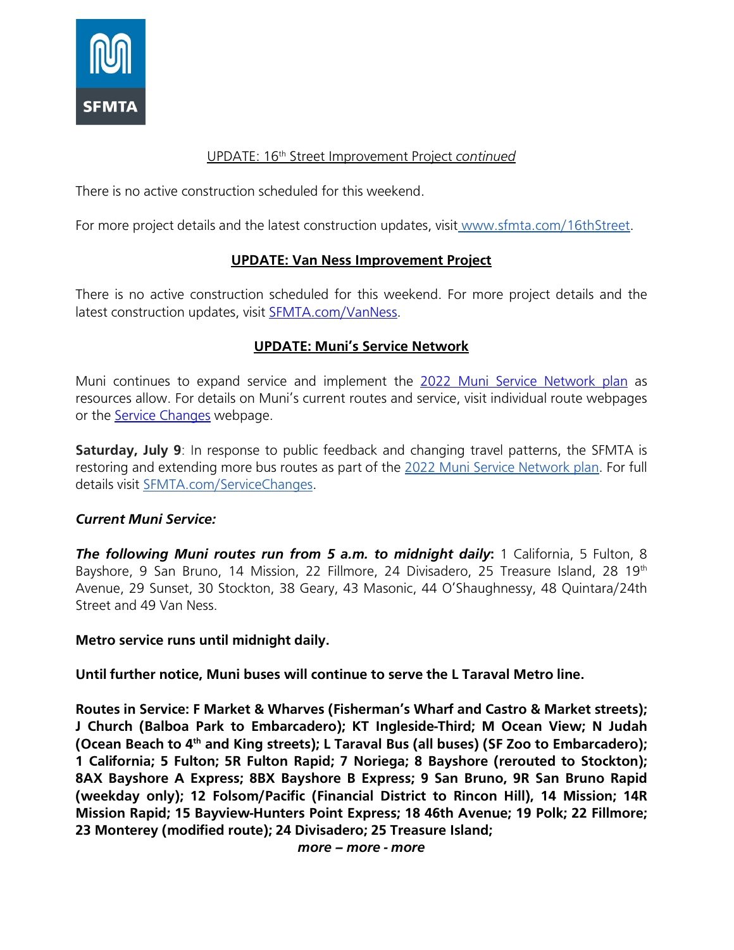

#### UPDATE: 16th Street Improvement Project *continued*

There is no active construction scheduled for this weekend.

For more project details and the latest construction updates, visit [www.sfmta.com/16thStreet.](https://www.sfmta.com/projects/16th-street-improvement-project-phase-2)

#### **UPDATE: Van Ness Improvement Project**

There is no active construction scheduled for this weekend. For more project details and the latest construction updates, visit [SFMTA.com/VanNess.](https://www.sfmta.com/projects/van-ness-improvement-project)

### **UPDATE: Muni's Service Network**

Muni continues to expand service and implement the [2022 Muni Service Network plan](https://www.sfmta.com/projects/2022-muni-service-network) as resources allow. For details on Muni's current routes and service, visit individual route webpages or the **Service [Changes](https://www.sfmta.com/blog/late-night-metro-and-more-j-church-service-starts-october-2-2021)** webpage.

**Saturday, July 9**: In response to public feedback and changing travel patterns, the SFMTA is restoring and extending more bus routes as part of the [2022 Muni Service Network plan.](https://www.sfmta.com/projects/2022-muni-service-network) For full details visit [SFMTA.com/ServiceChanges.](http://sfmta.com/servicechanges)

#### *Current Muni Service:*

*The following Muni routes run from 5 a.m. to midnight daily***:** 1 California, 5 Fulton, 8 Bayshore, 9 San Bruno, 14 Mission, 22 Fillmore, 24 Divisadero, 25 Treasure Island, 28 19<sup>th</sup> Avenue, 29 Sunset, 30 Stockton, 38 Geary, 43 Masonic, 44 O'Shaughnessy, 48 Quintara/24th Street and 49 Van Ness.

#### **Metro service runs until midnight daily.**

**Until further notice, Muni buses will continue to serve the L Taraval Metro line.**

**Routes in Service: F Market & Wharves (Fisherman's Wharf and Castro & Market streets); J Church (Balboa Park to Embarcadero); KT Ingleside-Third; M Ocean View; N Judah (Ocean Beach to 4th and King streets); L Taraval Bus (all buses) (SF Zoo to Embarcadero); 1 California; 5 Fulton; 5R Fulton Rapid; 7 Noriega; 8 Bayshore (rerouted to Stockton); 8AX Bayshore A Express; 8BX Bayshore B Express; 9 San Bruno, 9R San Bruno Rapid (weekday only); 12 Folsom/Pacific (Financial District to Rincon Hill), 14 Mission; 14R Mission Rapid; 15 Bayview-Hunters Point Express; 18 46th Avenue; 19 Polk; 22 Fillmore; 23 Monterey (modified route); 24 Divisadero; 25 Treasure Island;**

*more – more - more*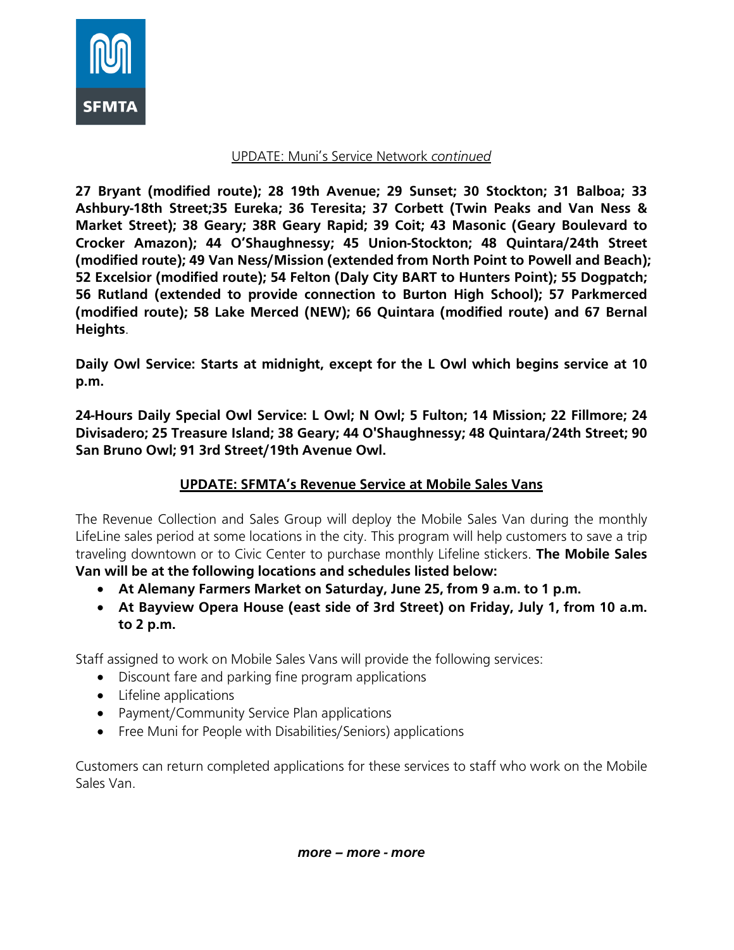

#### UPDATE: Muni's Service Network *continued*

**27 Bryant (modified route); 28 19th Avenue; 29 Sunset; 30 Stockton; 31 Balboa; 33 Ashbury-18th Street;35 Eureka; 36 Teresita; 37 Corbett (Twin Peaks and Van Ness & Market Street); 38 Geary; 38R Geary Rapid; 39 Coit; 43 Masonic (Geary Boulevard to Crocker Amazon); 44 O'Shaughnessy; 45 Union-Stockton; 48 Quintara/24th Street (modified route); 49 Van Ness/Mission (extended from North Point to Powell and Beach); 52 Excelsior (modified route); 54 Felton (Daly City BART to Hunters Point); 55 Dogpatch; 56 Rutland (extended to provide connection to Burton High School); 57 Parkmerced (modified route); 58 Lake Merced (NEW); 66 Quintara (modified route) and 67 Bernal Heights**.

**Daily Owl Service: Starts at midnight, except for the L Owl which begins service at 10 p.m.**

**24-Hours Daily Special Owl Service: L Owl; N Owl; 5 Fulton; 14 Mission; 22 Fillmore; 24 Divisadero; 25 Treasure Island; 38 Geary; 44 O'Shaughnessy; 48 Quintara/24th Street; 90 San Bruno Owl; 91 3rd Street/19th Avenue Owl.**

## **UPDATE: SFMTA's Revenue Service at Mobile Sales Vans**

The Revenue Collection and Sales Group will deploy the Mobile Sales Van during the monthly LifeLine sales period at some locations in the city. This program will help customers to save a trip traveling downtown or to Civic Center to purchase monthly Lifeline stickers. **The Mobile Sales Van will be at the following locations and schedules listed below:**

- **At Alemany Farmers Market on Saturday, June 25, from 9 a.m. to 1 p.m.**
- **At Bayview Opera House (east side of 3rd Street) on Friday, July 1, from 10 a.m. to 2 p.m.**

Staff assigned to work on Mobile Sales Vans will provide the following services:

- Discount fare and parking fine program applications
- Lifeline applications
- Payment/Community Service Plan applications
- Free Muni for People with Disabilities/Seniors) applications

Customers can return completed applications for these services to staff who work on the Mobile Sales Van.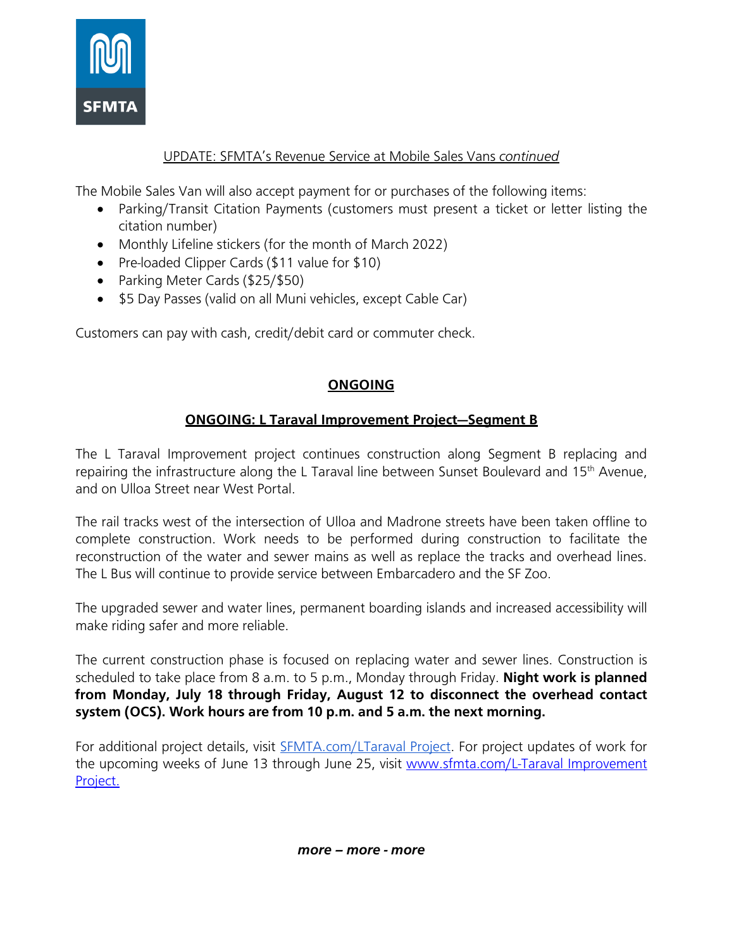

### UPDATE: SFMTA's Revenue Service at Mobile Sales Vans *continued*

The Mobile Sales Van will also accept payment for or purchases of the following items:

- Parking/Transit Citation Payments (customers must present a ticket or letter listing the citation number)
- Monthly Lifeline stickers (for the month of March 2022)
- Pre-loaded Clipper Cards (\$11 value for \$10)
- Parking Meter Cards (\$25/\$50)
- \$5 Day Passes (valid on all Muni vehicles, except Cable Car)

Customers can pay with cash, credit/debit card or commuter check.

## **ONGOING**

## **ONGOING: L Taraval Improvement Project—Segment B**

The L Taraval Improvement project continues construction along Segment B replacing and repairing the infrastructure along the L Taraval line between Sunset Boulevard and 15<sup>th</sup> Avenue, and on Ulloa Street near West Portal.

The rail tracks west of the intersection of Ulloa and Madrone streets have been taken offline to complete construction. Work needs to be performed during construction to facilitate the reconstruction of the water and sewer mains as well as replace the tracks and overhead lines. The L Bus will continue to provide service between Embarcadero and the SF Zoo.

The upgraded sewer and water lines, permanent boarding islands and increased accessibility will make riding safer and more reliable.

The current construction phase is focused on replacing water and sewer lines. Construction is scheduled to take place from 8 a.m. to 5 p.m., Monday through Friday. **Night work is planned from Monday, July 18 through Friday, August 12 to disconnect the overhead contact system (OCS). Work hours are from 10 p.m. and 5 a.m. the next morning.**

For additional project details, visit [SFMTA.com/LTaraval Project.](https://www.sfmta.com/projects/l-taraval-improvement-project) For project updates of work for the upcoming weeks of June 13 through June 25, visit www.sfmta.com/L-Taraval Improvement [Project.](https://www.sfmta.com/project-updates/l-taraval-improvement-project-seg-b-project-update-and-forecast-june-13-2022-june-25)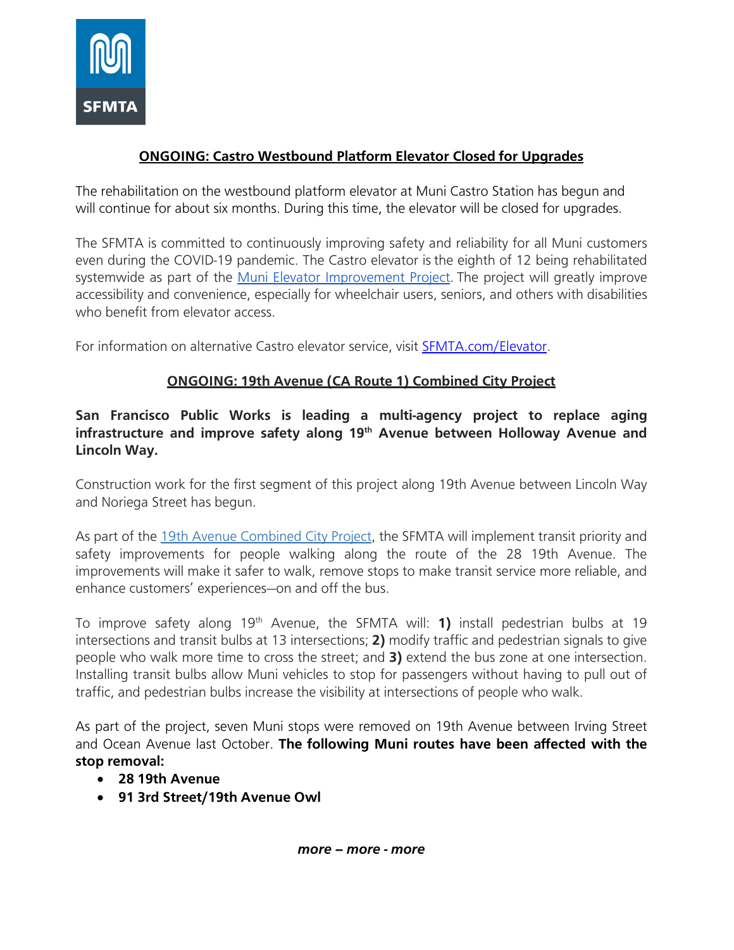

## **ONGOING: Castro Westbound Platform Elevator Closed for Upgrades**

The rehabilitation on the westbound platform elevator at Muni Castro Station has begun and will continue for about six months. During this time, the elevator will be closed for upgrades.

The SFMTA is committed to continuously improving safety and reliability for all Muni customers even during the COVID-19 pandemic. The Castro elevator is the eighth of 12 being rehabilitated systemwide as part of the [Muni Elevator Improvement Project.](https://www.sfmta.com/projects/muni-elevators-modernization) The project will greatly improve accessibility and convenience, especially for wheelchair users, seniors, and others with disabilities who benefit from elevator access.

For information on alternative Castro elevator service, visit [SFMTA.com/Elevator.](https://www.sfmta.com/projects/muni-elevators-modernization)

## **ONGOING: 19th Avenue (CA Route 1) Combined City Project**

### **San Francisco Public Works is leading a multi-agency project to replace aging infrastructure and improve safety along 19th Avenue between Holloway Avenue and Lincoln Way.**

Construction work for the first segment of this project along 19th Avenue between Lincoln Way and Noriega Street has begun.

As part of the [19th Avenue](https://www.sfpublicworks.org/19th-Avenue) Combined City Project, the SFMTA will implement transit priority and safety improvements for people walking along the route of the 28 19th Avenue. The improvements will make it safer to walk, remove stops to make transit service more reliable, and enhance customers' experiences—on and off the bus.

To improve safety along 19th Avenue, the SFMTA will: **1)** install pedestrian bulbs at 19 intersections and transit bulbs at 13 intersections; **2)** modify traffic and pedestrian signals to give people who walk more time to cross the street; and **3)** extend the bus zone at one intersection. Installing transit bulbs allow Muni vehicles to stop for passengers without having to pull out of traffic, and pedestrian bulbs increase the visibility at intersections of people who walk.

As part of the project, seven Muni stops were removed on 19th Avenue between Irving Street and Ocean Avenue last October. **The following Muni routes have been affected with the stop removal:**

- **28 19th Avenue**
- **91 3rd Street/19th Avenue Owl**